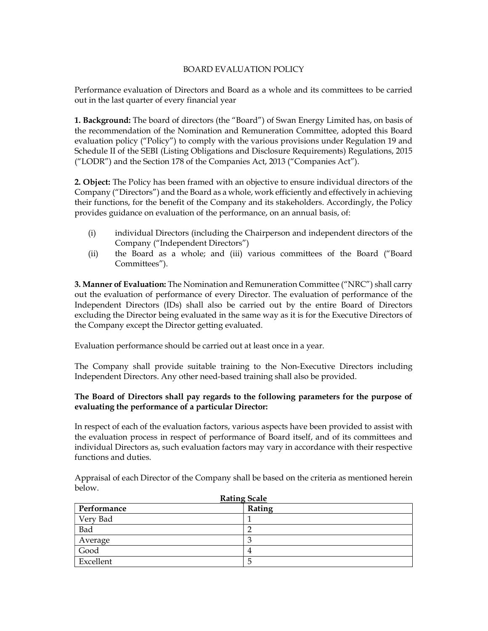### BOARD EVALUATION POLICY

Performance evaluation of Directors and Board as a whole and its committees to be carried out in the last quarter of every financial year

1. Background: The board of directors (the "Board") of Swan Energy Limited has, on basis of the recommendation of the Nomination and Remuneration Committee, adopted this Board evaluation policy ("Policy") to comply with the various provisions under Regulation 19 and Schedule II of the SEBI (Listing Obligations and Disclosure Requirements) Regulations, 2015 ("LODR") and the Section 178 of the Companies Act, 2013 ("Companies Act").

2. Object: The Policy has been framed with an objective to ensure individual directors of the Company ("Directors") and the Board as a whole, work efficiently and effectively in achieving their functions, for the benefit of the Company and its stakeholders. Accordingly, the Policy provides guidance on evaluation of the performance, on an annual basis, of:

- (i) individual Directors (including the Chairperson and independent directors of the Company ("Independent Directors")
- (ii) the Board as a whole; and (iii) various committees of the Board ("Board Committees").

3. Manner of Evaluation: The Nomination and Remuneration Committee ("NRC") shall carry out the evaluation of performance of every Director. The evaluation of performance of the Independent Directors (IDs) shall also be carried out by the entire Board of Directors excluding the Director being evaluated in the same way as it is for the Executive Directors of the Company except the Director getting evaluated.

Evaluation performance should be carried out at least once in a year.

The Company shall provide suitable training to the Non-Executive Directors including Independent Directors. Any other need-based training shall also be provided.

### The Board of Directors shall pay regards to the following parameters for the purpose of evaluating the performance of a particular Director:

In respect of each of the evaluation factors, various aspects have been provided to assist with the evaluation process in respect of performance of Board itself, and of its committees and individual Directors as, such evaluation factors may vary in accordance with their respective functions and duties.

Appraisal of each Director of the Company shall be based on the criteria as mentioned herein below.

| <b>Rating Scale</b> |                |  |  |  |
|---------------------|----------------|--|--|--|
| Performance         | Rating         |  |  |  |
| Very Bad            |                |  |  |  |
| Bad                 |                |  |  |  |
| Average             | 3              |  |  |  |
| Good                | $\overline{4}$ |  |  |  |
| Excellent           | C              |  |  |  |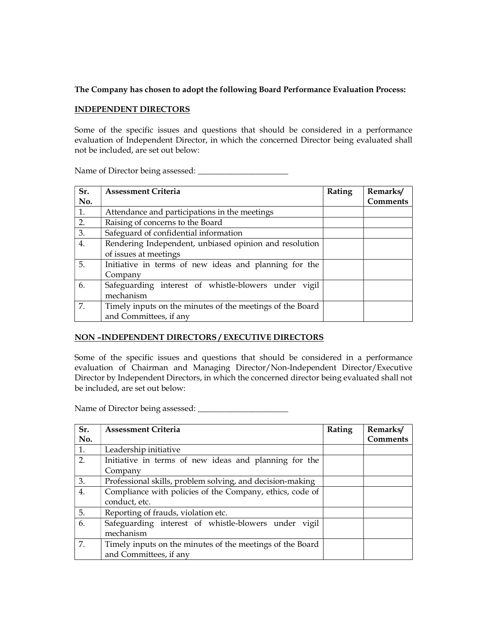## The Company has chosen to adopt the following Board Performance Evaluation Process:

### INDEPENDENT DIRECTORS

Some of the specific issues and questions that should be considered in a performance evaluation of Independent Director, in which the concerned Director being evaluated shall not be included, are set out below:

| Sr. | <b>Assessment Criteria</b>                                | Rating | Remarks/        |
|-----|-----------------------------------------------------------|--------|-----------------|
| No. |                                                           |        | <b>Comments</b> |
| 1.  | Attendance and participations in the meetings             |        |                 |
| 2.  | Raising of concerns to the Board                          |        |                 |
| 3.  | Safeguard of confidential information                     |        |                 |
| 4.  | Rendering Independent, unbiased opinion and resolution    |        |                 |
|     | of issues at meetings                                     |        |                 |
| 5.  | Initiative in terms of new ideas and planning for the     |        |                 |
|     | Company                                                   |        |                 |
| 6.  | Safeguarding interest of whistle-blowers under vigil      |        |                 |
|     | mechanism                                                 |        |                 |
| 7.  | Timely inputs on the minutes of the meetings of the Board |        |                 |
|     | and Committees, if any                                    |        |                 |

Name of Director being assessed: \_\_\_\_\_\_\_\_\_\_\_\_\_\_\_\_\_\_\_\_\_\_

## NON –INDEPENDENT DIRECTORS / EXECUTIVE DIRECTORS

Some of the specific issues and questions that should be considered in a performance evaluation of Chairman and Managing Director/Non-Independent Director/Executive Director by Independent Directors, in which the concerned director being evaluated shall not be included, are set out below:

Name of Director being assessed: \_\_\_\_\_\_\_\_\_\_\_\_\_\_\_\_\_\_\_\_\_\_

| Sr. | <b>Assessment Criteria</b>                                | Rating | Remarks/        |
|-----|-----------------------------------------------------------|--------|-----------------|
| No. |                                                           |        | <b>Comments</b> |
| 1.  | Leadership initiative                                     |        |                 |
| 2.  | Initiative in terms of new ideas and planning for the     |        |                 |
|     | Company                                                   |        |                 |
| 3.  | Professional skills, problem solving, and decision-making |        |                 |
| 4.  | Compliance with policies of the Company, ethics, code of  |        |                 |
|     | conduct, etc.                                             |        |                 |
| 5.  | Reporting of frauds, violation etc.                       |        |                 |
| 6.  | Safeguarding interest of whistle-blowers under vigil      |        |                 |
|     | mechanism                                                 |        |                 |
| 7.  | Timely inputs on the minutes of the meetings of the Board |        |                 |
|     | and Committees, if any                                    |        |                 |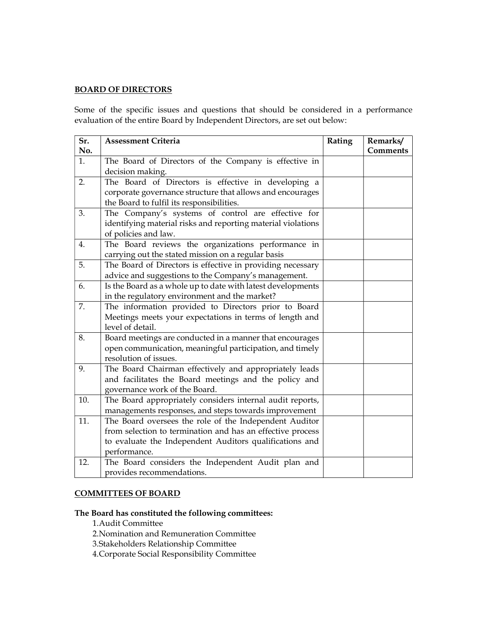# BOARD OF DIRECTORS

Some of the specific issues and questions that should be considered in a performance evaluation of the entire Board by Independent Directors, are set out below:

| Sr. | <b>Assessment Criteria</b>                                   | Rating | Remarks/ |
|-----|--------------------------------------------------------------|--------|----------|
| No. |                                                              |        | Comments |
| 1.  | The Board of Directors of the Company is effective in        |        |          |
|     | decision making.                                             |        |          |
| 2.  | The Board of Directors is effective in developing a          |        |          |
|     | corporate governance structure that allows and encourages    |        |          |
|     | the Board to fulfil its responsibilities.                    |        |          |
| 3.  | The Company's systems of control are effective for           |        |          |
|     | identifying material risks and reporting material violations |        |          |
|     | of policies and law.                                         |        |          |
| 4.  | The Board reviews the organizations performance in           |        |          |
|     | carrying out the stated mission on a regular basis           |        |          |
| 5.  | The Board of Directors is effective in providing necessary   |        |          |
|     | advice and suggestions to the Company's management.          |        |          |
| 6.  | Is the Board as a whole up to date with latest developments  |        |          |
|     | in the regulatory environment and the market?                |        |          |
| 7.  | The information provided to Directors prior to Board         |        |          |
|     | Meetings meets your expectations in terms of length and      |        |          |
|     | level of detail.                                             |        |          |
| 8.  | Board meetings are conducted in a manner that encourages     |        |          |
|     | open communication, meaningful participation, and timely     |        |          |
|     | resolution of issues.                                        |        |          |
| 9.  | The Board Chairman effectively and appropriately leads       |        |          |
|     | and facilitates the Board meetings and the policy and        |        |          |
|     | governance work of the Board.                                |        |          |
| 10. | The Board appropriately considers internal audit reports,    |        |          |
|     | managements responses, and steps towards improvement         |        |          |
| 11. | The Board oversees the role of the Independent Auditor       |        |          |
|     | from selection to termination and has an effective process   |        |          |
|     | to evaluate the Independent Auditors qualifications and      |        |          |
|     | performance.                                                 |        |          |
| 12. | The Board considers the Independent Audit plan and           |        |          |
|     | provides recommendations.                                    |        |          |

## COMMITTEES OF BOARD

The Board has constituted the following committees:

1.Audit Committee

2.Nomination and Remuneration Committee

3.Stakeholders Relationship Committee

4.Corporate Social Responsibility Committee